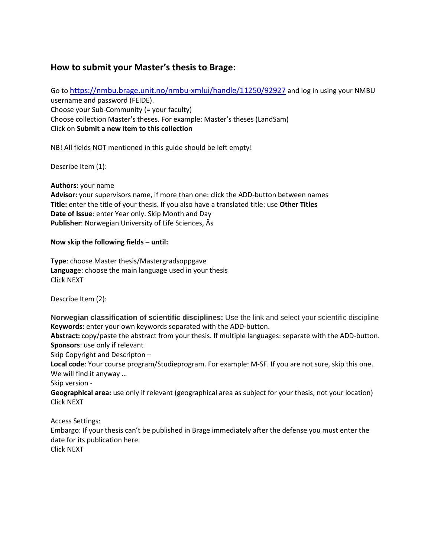## **How to submit your Master's thesis to Brage:**

Go to<https://nmbu.brage.unit.no/nmbu-xmlui/handle/11250/92927> and log in using your NMBU

username and password (FEIDE). Choose your Sub-Community (= your faculty) Choose collection Master's theses. For example: Master's theses (LandSam) Click on **Submit a new item to this collection**

NB! All fields NOT mentioned in this guide should be left empty!

Describe Item (1):

**Authors:** your name

**Advisor:** your supervisors name, if more than one: click the ADD-button between names **Title:** enter the title of your thesis. If you also have a translated title: use **Other Titles Date of Issue**: enter Year only. Skip Month and Day **Publisher**: Norwegian University of Life Sciences, Ås

## **Now skip the following fields – until:**

**Type**: choose Master thesis/Mastergradsoppgave **Languag**e: choose the main language used in your thesis Click NEXT

Describe Item (2):

**Norwegian classification of scientific disciplines:** Use the link and select your scientific discipline **Keywords:** enter your own keywords separated with the ADD-button.

**Abstract:** copy/paste the abstract from your thesis. If multiple languages: separate with the ADD-button. **Sponsors**: use only if relevant

Skip Copyright and Descripton –

**Local code**: Your course program/Studieprogram. For example: M-SF. If you are not sure, skip this one. We will find it anyway …

Skip version -

**Geographical area:** use only if relevant (geographical area as subject for your thesis, not your location) Click NEXT

Access Settings:

Embargo: If your thesis can't be published in Brage immediately after the defense you must enter the date for its publication here.

Click NEXT